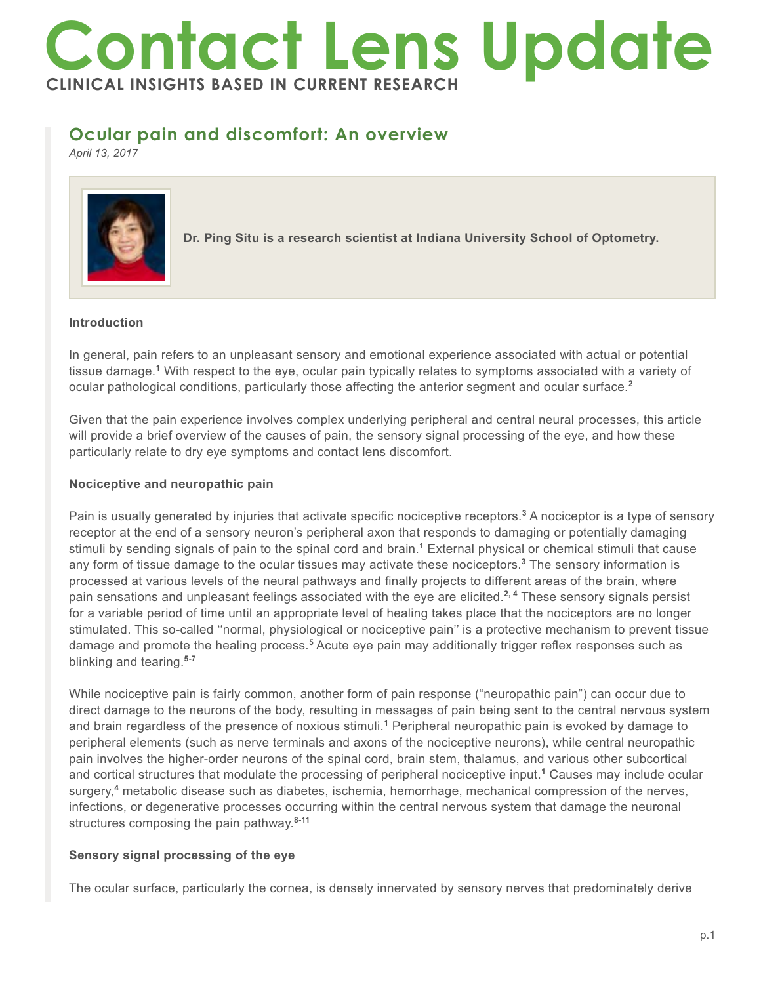# **Contact Lens Update CLINICAL INSIGHTS BASED IN CURRENT RESEARCH**

# **Ocular pain and discomfort: An overview**

*April 13, 2017*



**Dr. Ping Situ is a research scientist at Indiana University School of Optometry.**

#### **Introduction**

In general, pain refers to an unpleasant sensory and emotional experience associated with actual or potential tissue damage.**<sup>1</sup>** With respect to the eye, ocular pain typically relates to symptoms associated with a variety of ocular pathological conditions, particularly those affecting the anterior segment and ocular surface.**<sup>2</sup>**

Given that the pain experience involves complex underlying peripheral and central neural processes, this article will provide a brief overview of the causes of pain, the sensory signal processing of the eye, and how these particularly relate to dry eye symptoms and contact lens discomfort.

### **Nociceptive and neuropathic pain**

Pain is usually generated by injuries that activate specific nociceptive receptors.<sup>3</sup> A nociceptor is a type of sensory receptor at the end of a sensory neuron's peripheral axon that responds to damaging or potentially damaging stimuli by sending signals of pain to the spinal cord and brain.**<sup>1</sup>** External physical or chemical stimuli that cause any form of tissue damage to the ocular tissues may activate these nociceptors.**<sup>3</sup>** The sensory information is processed at various levels of the neural pathways and finally projects to different areas of the brain, where pain sensations and unpleasant feelings associated with the eye are elicited.**2, 4** These sensory signals persist for a variable period of time until an appropriate level of healing takes place that the nociceptors are no longer stimulated. This so-called ''normal, physiological or nociceptive pain'' is a protective mechanism to prevent tissue damage and promote the healing process.<sup>5</sup> Acute eye pain may additionally trigger reflex responses such as blinking and tearing.**5-7**

While nociceptive pain is fairly common, another form of pain response ("neuropathic pain") can occur due to direct damage to the neurons of the body, resulting in messages of pain being sent to the central nervous system and brain regardless of the presence of noxious stimuli.**<sup>1</sup>** Peripheral neuropathic pain is evoked by damage to peripheral elements (such as nerve terminals and axons of the nociceptive neurons), while central neuropathic pain involves the higher-order neurons of the spinal cord, brain stem, thalamus, and various other subcortical and cortical structures that modulate the processing of peripheral nociceptive input.**<sup>1</sup>** Causes may include ocular surgery,**<sup>4</sup>** metabolic disease such as diabetes, ischemia, hemorrhage, mechanical compression of the nerves, infections, or degenerative processes occurring within the central nervous system that damage the neuronal structures composing the pain pathway.**8-11**

## **Sensory signal processing of the eye**

The ocular surface, particularly the cornea, is densely innervated by sensory nerves that predominately derive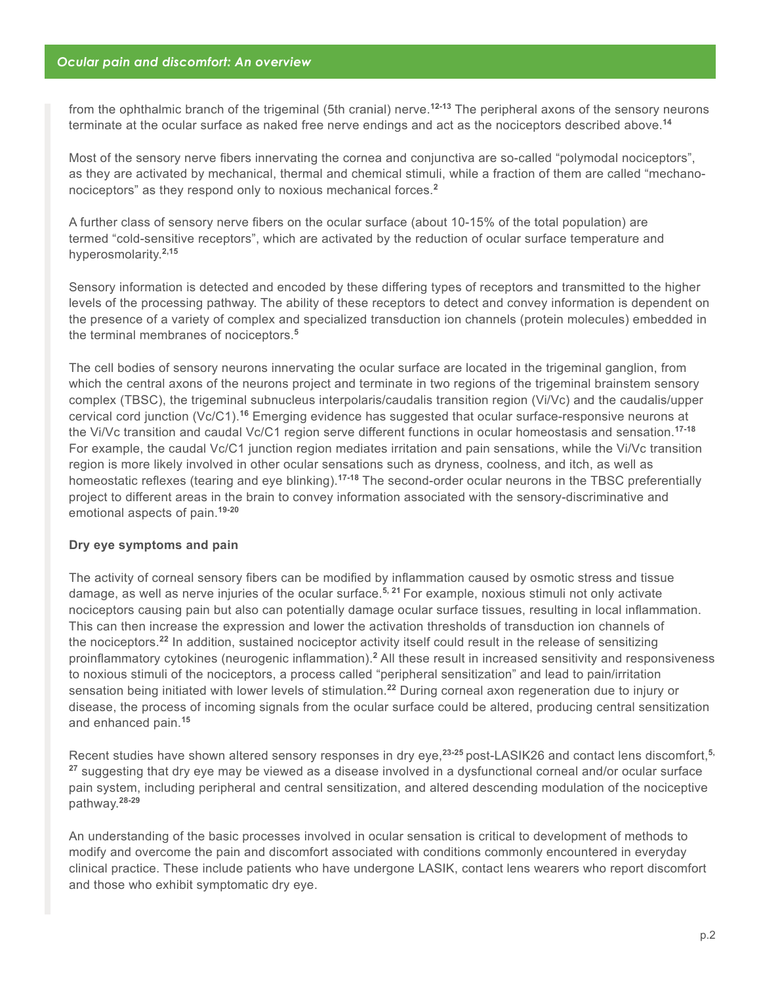from the ophthalmic branch of the trigeminal (5th cranial) nerve.**12-13** The peripheral axons of the sensory neurons terminate at the ocular surface as naked free nerve endings and act as the nociceptors described above.**<sup>14</sup>**

Most of the sensory nerve fibers innervating the cornea and conjunctiva are so-called "polymodal nociceptors", as they are activated by mechanical, thermal and chemical stimuli, while a fraction of them are called "mechanonociceptors" as they respond only to noxious mechanical forces.**<sup>2</sup>**

A further class of sensory nerve fibers on the ocular surface (about 10-15% of the total population) are termed "cold-sensitive receptors", which are activated by the reduction of ocular surface temperature and hyperosmolarity.**2,15**

Sensory information is detected and encoded by these differing types of receptors and transmitted to the higher levels of the processing pathway. The ability of these receptors to detect and convey information is dependent on the presence of a variety of complex and specialized transduction ion channels (protein molecules) embedded in the terminal membranes of nociceptors.**<sup>5</sup>**

The cell bodies of sensory neurons innervating the ocular surface are located in the trigeminal ganglion, from which the central axons of the neurons project and terminate in two regions of the trigeminal brainstem sensory complex (TBSC), the trigeminal subnucleus interpolaris/caudalis transition region (Vi/Vc) and the caudalis/upper cervical cord junction (Vc/C1).**<sup>16</sup>** Emerging evidence has suggested that ocular surface-responsive neurons at the Vi/Vc transition and caudal Vc/C1 region serve different functions in ocular homeostasis and sensation.**17-18**  For example, the caudal Vc/C1 junction region mediates irritation and pain sensations, while the Vi/Vc transition region is more likely involved in other ocular sensations such as dryness, coolness, and itch, as well as homeostatic reflexes (tearing and eye blinking).**17-18** The second-order ocular neurons in the TBSC preferentially project to different areas in the brain to convey information associated with the sensory-discriminative and emotional aspects of pain.**19-20**

#### **Dry eye symptoms and pain**

The activity of corneal sensory fibers can be modified by inflammation caused by osmotic stress and tissue damage, as well as nerve injuries of the ocular surface.**5, 21** For example, noxious stimuli not only activate nociceptors causing pain but also can potentially damage ocular surface tissues, resulting in local inflammation. This can then increase the expression and lower the activation thresholds of transduction ion channels of the nociceptors.**<sup>22</sup>** In addition, sustained nociceptor activity itself could result in the release of sensitizing proinflammatory cytokines (neurogenic inflammation).<sup>2</sup> All these result in increased sensitivity and responsiveness to noxious stimuli of the nociceptors, a process called "peripheral sensitization" and lead to pain/irritation sensation being initiated with lower levels of stimulation.**<sup>22</sup>** During corneal axon regeneration due to injury or disease, the process of incoming signals from the ocular surface could be altered, producing central sensitization and enhanced pain.**<sup>15</sup>**

Recent studies have shown altered sensory responses in dry eye,**23-25** post-LASIK26 and contact lens discomfort,**5, <sup>27</sup>** suggesting that dry eye may be viewed as a disease involved in a dysfunctional corneal and/or ocular surface pain system, including peripheral and central sensitization, and altered descending modulation of the nociceptive pathway.**28-29**

An understanding of the basic processes involved in ocular sensation is critical to development of methods to modify and overcome the pain and discomfort associated with conditions commonly encountered in everyday clinical practice. These include patients who have undergone LASIK, contact lens wearers who report discomfort and those who exhibit symptomatic dry eye.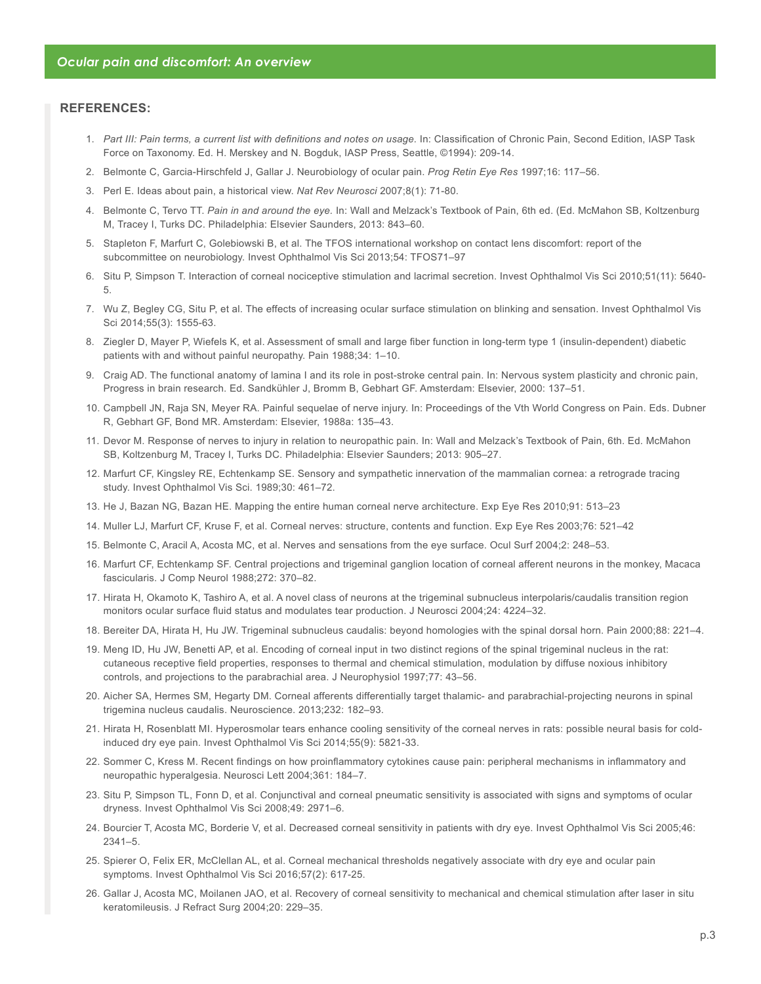#### **REFERENCES:**

- 1. *Part III: Pain terms, a current list with definitions and notes on usage.* In: Classification of Chronic Pain, Second Edition, IASP Task Force on Taxonomy. Ed. H. Merskey and N. Bogduk, IASP Press, Seattle, ©1994): 209-14.
- 2. Belmonte C, Garcia-Hirschfeld J, Gallar J. Neurobiology of ocular pain. *Prog Retin Eye Res* 1997;16: 117–56.
- 3. Perl E. Ideas about pain, a historical view. *Nat Rev Neurosci* 2007;8(1): 71-80.
- 4. Belmonte C, Tervo TT. *Pain in and around the eye.* In: Wall and Melzack's Textbook of Pain, 6th ed. (Ed. McMahon SB, Koltzenburg M, Tracey I, Turks DC. Philadelphia: Elsevier Saunders, 2013: 843–60.
- 5. Stapleton F, Marfurt C, Golebiowski B, et al. The TFOS international workshop on contact lens discomfort: report of the subcommittee on neurobiology. Invest Ophthalmol Vis Sci 2013;54: TFOS71–97
- 6. Situ P, Simpson T. Interaction of corneal nociceptive stimulation and lacrimal secretion. Invest Ophthalmol Vis Sci 2010;51(11): 5640- 5.
- 7. Wu Z, Begley CG, Situ P, et al. The effects of increasing ocular surface stimulation on blinking and sensation. Invest Ophthalmol Vis Sci 2014;55(3): 1555-63.
- 8. Ziegler D, Mayer P, Wiefels K, et al. Assessment of small and large fiber function in long-term type 1 (insulin-dependent) diabetic patients with and without painful neuropathy. Pain 1988;34: 1–10.
- 9. Craig AD. The functional anatomy of lamina I and its role in post-stroke central pain. In: Nervous system plasticity and chronic pain, Progress in brain research. Ed. Sandkühler J, Bromm B, Gebhart GF. Amsterdam: Elsevier, 2000: 137–51.
- 10. Campbell JN, Raja SN, Meyer RA. Painful sequelae of nerve injury. In: Proceedings of the Vth World Congress on Pain. Eds. Dubner R, Gebhart GF, Bond MR. Amsterdam: Elsevier, 1988a: 135–43.
- 11. Devor M. Response of nerves to injury in relation to neuropathic pain. In: Wall and Melzack's Textbook of Pain, 6th. Ed. McMahon SB, Koltzenburg M, Tracey I, Turks DC. Philadelphia: Elsevier Saunders; 2013: 905–27.
- 12. Marfurt CF, Kingsley RE, Echtenkamp SE. Sensory and sympathetic innervation of the mammalian cornea: a retrograde tracing study. Invest Ophthalmol Vis Sci. 1989;30: 461–72.
- 13. He J, Bazan NG, Bazan HE. Mapping the entire human corneal nerve architecture. Exp Eye Res 2010;91: 513–23
- 14. Muller LJ, Marfurt CF, Kruse F, et al. Corneal nerves: structure, contents and function. Exp Eye Res 2003;76: 521–42
- 15. Belmonte C, Aracil A, Acosta MC, et al. Nerves and sensations from the eye surface. Ocul Surf 2004;2: 248–53.
- 16. Marfurt CF, Echtenkamp SF. Central projections and trigeminal ganglion location of corneal afferent neurons in the monkey, Macaca fascicularis. J Comp Neurol 1988;272: 370–82.
- 17. Hirata H, Okamoto K, Tashiro A, et al. A novel class of neurons at the trigeminal subnucleus interpolaris/caudalis transition region monitors ocular surface fluid status and modulates tear production. J Neurosci 2004;24: 4224–32.
- 18. Bereiter DA, Hirata H, Hu JW. Trigeminal subnucleus caudalis: beyond homologies with the spinal dorsal horn. Pain 2000;88: 221–4.
- 19. Meng ID, Hu JW, Benetti AP, et al. Encoding of corneal input in two distinct regions of the spinal trigeminal nucleus in the rat: cutaneous receptive field properties, responses to thermal and chemical stimulation, modulation by diffuse noxious inhibitory controls, and projections to the parabrachial area. J Neurophysiol 1997;77: 43–56.
- 20. Aicher SA, Hermes SM, Hegarty DM. Corneal afferents differentially target thalamic- and parabrachial-projecting neurons in spinal trigemina nucleus caudalis. Neuroscience. 2013;232: 182–93.
- 21. Hirata H, Rosenblatt MI. Hyperosmolar tears enhance cooling sensitivity of the corneal nerves in rats: possible neural basis for coldinduced dry eye pain. Invest Ophthalmol Vis Sci 2014;55(9): 5821-33.
- 22. Sommer C, Kress M. Recent findings on how proinflammatory cytokines cause pain: peripheral mechanisms in inflammatory and neuropathic hyperalgesia. Neurosci Lett 2004;361: 184–7.
- 23. Situ P, Simpson TL, Fonn D, et al. Conjunctival and corneal pneumatic sensitivity is associated with signs and symptoms of ocular dryness. Invest Ophthalmol Vis Sci 2008;49: 2971–6.
- 24. Bourcier T, Acosta MC, Borderie V, et al. Decreased corneal sensitivity in patients with dry eye. Invest Ophthalmol Vis Sci 2005;46: 2341–5.
- 25. Spierer O, Felix ER, McClellan AL, et al. Corneal mechanical thresholds negatively associate with dry eye and ocular pain symptoms. Invest Ophthalmol Vis Sci 2016;57(2): 617-25.
- 26. Gallar J, Acosta MC, Moilanen JAO, et al. Recovery of corneal sensitivity to mechanical and chemical stimulation after laser in situ keratomileusis. J Refract Surg 2004;20: 229–35.